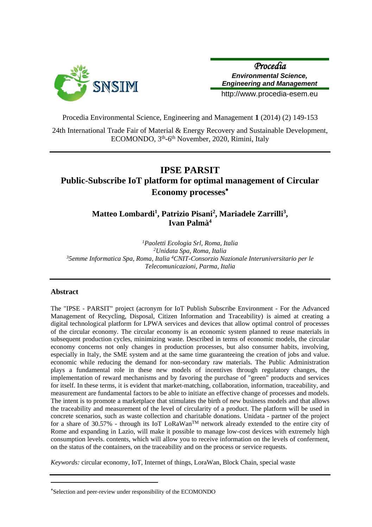

*Procedia Environmental Science, Engineering and Management*

http://www.procedia-esem.eu

Procedia Environmental Science, Engineering and Management **1** (2014) (2) 149-153

24th International Trade Fair of Material & Energy Recovery and Sustainable Development, ECOMONDO, 3<sup>th</sup>-6<sup>th</sup> November, 2020, Rimini, Italy

# **IPSE PARSIT Public-Subscribe IoT platform for optimal management of Circular Economy processes**

# **Matteo Lombardi<sup>1</sup> , Patrizio Pisani<sup>2</sup> , Mariadele Zarrilli<sup>3</sup> , Ivan Palmà<sup>4</sup>**

*Paoletti Ecologia Srl, Roma, Italia Unidata Spa, Roma, Italia 5emme Informatica Spa, Roma, Italia <sup>4</sup>CNIT-Consorzio Nazionale Interuniversitario per le Telecomunicazioni, Parma, Italia*

# **Abstract**

The "IPSE - PARSIT" project (acronym for IoT Publish Subscribe Environment - For the Advanced Management of Recycling, Disposal, Citizen Information and Traceability) is aimed at creating a digital technological platform for LPWA services and devices that allow optimal control of processes of the circular economy. The circular economy is an economic system planned to reuse materials in subsequent production cycles, minimizing waste. Described in terms of economic models, the circular economy concerns not only changes in production processes, but also consumer habits, involving, especially in Italy, the SME system and at the same time guaranteeing the creation of jobs and value. economic while reducing the demand for non-secondary raw materials. The Public Administration plays a fundamental role in these new models of incentives through regulatory changes, the implementation of reward mechanisms and by favoring the purchase of "green" products and services for itself. In these terms, it is evident that market-matching, collaboration, information, traceability, and measurement are fundamental factors to be able to initiate an effective change of processes and models. The intent is to promote a marketplace that stimulates the birth of new business models and that allows the traceability and measurement of the level of circularity of a product. The platform will be used in concrete scenarios, such as waste collection and charitable donations. Unidata - partner of the project for a share of 30.57% - through its IoT LoRaWanTM network already extended to the entire city of Rome and expanding in Lazio, will make it possible to manage low-cost devices with extremely high consumption levels. contents, which will allow you to receive information on the levels of conferment, on the status of the containers, on the traceability and on the process or service requests.

*Keywords:* circular economy, IoT, Internet of things, LoraWan, Block Chain, special waste

Selection and peer-review under responsibility of the ECOMONDO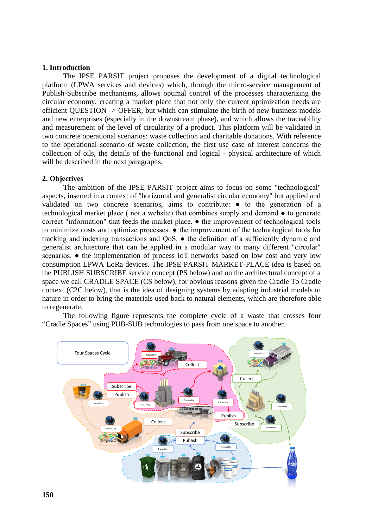#### **1. Introduction**

The IPSE PARSIT project proposes the development of a digital technological platform (LPWA services and devices) which, through the micro-service management of Publish-Subscribe mechanisms, allows optimal control of the processes characterizing the circular economy, creating a market place that not only the current optimization needs are efficient QUESTION -> OFFER, but which can stimulate the birth of new business models and new enterprises (especially in the downstream phase), and which allows the traceability and measurement of the level of circularity of a product. This platform will be validated in two concrete operational scenarios: waste collection and charitable donations. With reference to the operational scenario of waste collection, the first use case of interest concerns the collection of oils, the details of the functional and logical - physical architecture of which will be described in the next paragraphs.

# **2. Objectives**

The ambition of the IPSE PARSIT project aims to focus on some "technological" aspects, inserted in a context of "horizontal and generalist circular economy" but applied and validated on two concrete scenarios, aims to contribute: ● to the generation of a technological market place ( not a website) that combines supply and demand ● to generate correct "information" that feeds the market place. ● the improvement of technological tools to minimize costs and optimize processes. ● the improvement of the technological tools for tracking and indexing transactions and QoS. ● the definition of a sufficiently dynamic and generalist architecture that can be applied in a modular way to many different "circular" scenarios. ● the implementation of process IoT networks based on low cost and very low consumption LPWA LoRa devices. The IPSE PARSIT MARKET-PLACE idea is based on the PUBLISH SUBSCRIBE service concept (PS below) and on the architectural concept of a space we call CRADLE SPACE (CS below), for obvious reasons given the Cradle To Cradle context (C2C below), that is the idea of designing systems by adapting industrial models to nature in order to bring the materials used back to natural elements, which are therefore able to regenerate.

The following figure represents the complete cycle of a waste that crosses four "Cradle Spaces" using PUB-SUB technologies to pass from one space to another.

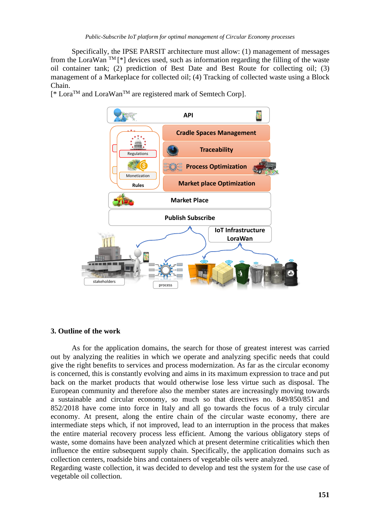Specifically, the IPSE PARSIT architecture must allow: (1) management of messages from the LoraWan<sup>TM</sup> [\*] devices used, such as information regarding the filling of the waste oil container tank; (2) prediction of Best Date and Best Route for collecting oil; (3) management of a Markeplace for collected oil; (4) Tracking of collected waste using a Block Chain.

[<sup>\*</sup> Lora<sup>™</sup> and LoraWan<sup>™</sup> are registered mark of Semtech Corp].



# **3. Outline of the work**

As for the application domains, the search for those of greatest interest was carried out by analyzing the realities in which we operate and analyzing specific needs that could give the right benefits to services and process modernization. As far as the circular economy is concerned, this is constantly evolving and aims in its maximum expression to trace and put back on the market products that would otherwise lose less virtue such as disposal. The European community and therefore also the member states are increasingly moving towards a sustainable and circular economy, so much so that directives no. 849/850/851 and 852/2018 have come into force in Italy and all go towards the focus of a truly circular economy. At present, along the entire chain of the circular waste economy, there are intermediate steps which, if not improved, lead to an interruption in the process that makes the entire material recovery process less efficient. Among the various obligatory steps of waste, some domains have been analyzed which at present determine criticalities which then influence the entire subsequent supply chain. Specifically, the application domains such as collection centers, roadside bins and containers of vegetable oils were analyzed.

Regarding waste collection, it was decided to develop and test the system for the use case of vegetable oil collection.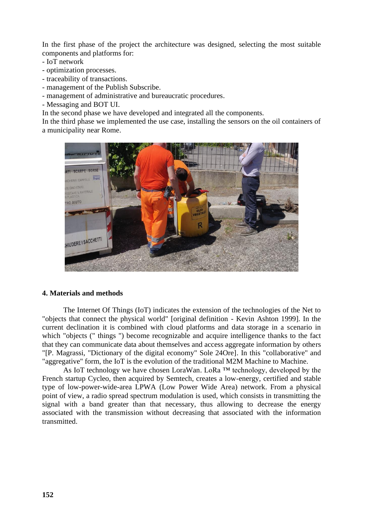In the first phase of the project the architecture was designed, selecting the most suitable components and platforms for:

- IoT network
- optimization processes.
- traceability of transactions.
- management of the Publish Subscribe.
- management of administrative and bureaucratic procedures.
- Messaging and BOT UI.

In the second phase we have developed and integrated all the components.

In the third phase we implemented the use case, installing the sensors on the oil containers of a municipality near Rome.



#### **4. Materials and methods**

The Internet Of Things (IoT) indicates the extension of the technologies of the Net to "objects that connect the physical world" [original definition - Kevin Ashton 1999]. In the current declination it is combined with cloud platforms and data storage in a scenario in which "objects (" things ") become recognizable and acquire intelligence thanks to the fact that they can communicate data about themselves and access aggregate information by others "[P. Magrassi, "Dictionary of the digital economy" Sole 24Ore]. In this "collaborative" and "aggregative" form, the IoT is the evolution of the traditional M2M Machine to Machine.

As IoT technology we have chosen LoraWan. LoRa ™ technology, developed by the French startup Cycleo, then acquired by Semtech, creates a low-energy, certified and stable type of low-power-wide-area LPWA (Low Power Wide Area) network. From a physical point of view, a radio spread spectrum modulation is used, which consists in transmitting the signal with a band greater than that necessary, thus allowing to decrease the energy associated with the transmission without decreasing that associated with the information transmitted.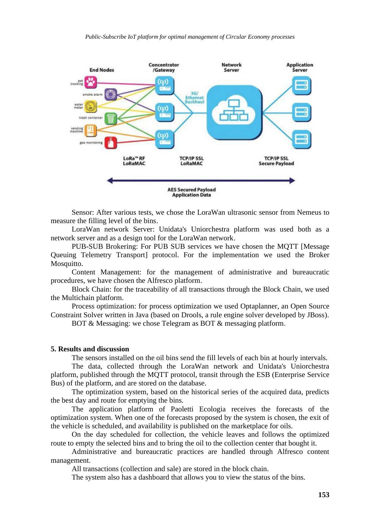

Sensor: After various tests, we chose the LoraWan ultrasonic sensor from Nemeus to measure the filling level of the bins.

LoraWan network Server: Unidata's Uniorchestra platform was used both as a network server and as a design tool for the LoraWan network.

PUB-SUB Brokering: For PUB SUB services we have chosen the MQTT [Message Queuing Telemetry Transport] protocol. For the implementation we used the Broker Mosquitto.

Content Management: for the management of administrative and bureaucratic procedures, we have chosen the Alfresco platform.

Block Chain: for the traceability of all transactions through the Block Chain, we used the Multichain platform.

Process optimization: for process optimization we used Optaplanner, an Open Source Constraint Solver written in Java (based on Drools, a rule engine solver developed by JBoss).

BOT & Messaging: we chose Telegram as BOT & messaging platform.

#### **5. Results and discussion**

The sensors installed on the oil bins send the fill levels of each bin at hourly intervals.

The data, collected through the LoraWan network and Unidata's Uniorchestra platform, published through the MQTT protocol, transit through the ESB (Enterprise Service Bus) of the platform, and are stored on the database.

The optimization system, based on the historical series of the acquired data, predicts the best day and route for emptying the bins.

The application platform of Paoletti Ecologia receives the forecasts of the optimization system. When one of the forecasts proposed by the system is chosen, the exit of the vehicle is scheduled, and availability is published on the marketplace for oils.

On the day scheduled for collection, the vehicle leaves and follows the optimized route to empty the selected bins and to bring the oil to the collection center that bought it.

Administrative and bureaucratic practices are handled through Alfresco content management.

All transactions (collection and sale) are stored in the block chain.

The system also has a dashboard that allows you to view the status of the bins.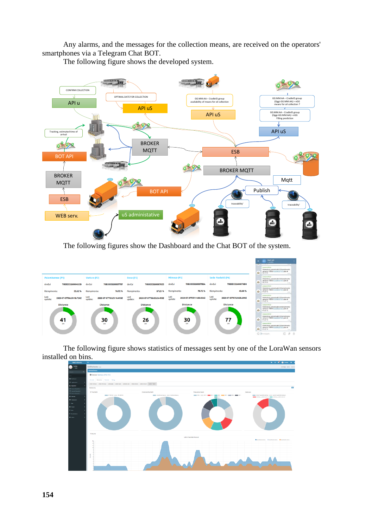Any alarms, and the messages for the collection means, are received on the operators' smartphones via a Telegram Chat BOT.

The following figure shows the developed system.



The following figures show the Dashboard and the Chat BOT of the system.



The following figure shows statistics of messages sent by one of the LoraWan sensors installed on bins.

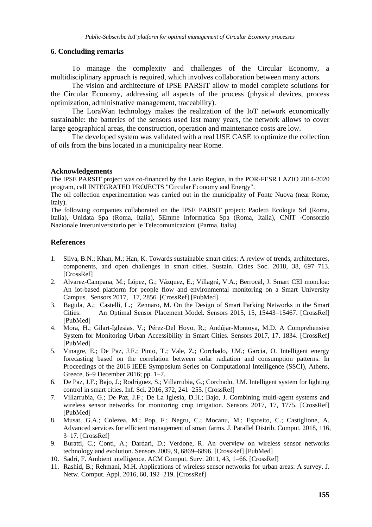# **6. Concluding remarks**

To manage the complexity and challenges of the Circular Economy, a multidisciplinary approach is required, which involves collaboration between many actors.

The vision and architecture of IPSE PARSIT allow to model complete solutions for the Circular Economy, addressing all aspects of the process (physical devices, process optimization, administrative management, traceability).

The LoraWan technology makes the realization of the IoT network economically sustainable: the batteries of the sensors used last many years, the network allows to cover large geographical areas, the construction, operation and maintenance costs are low.

The developed system was validated with a real USE CASE to optimize the collection of oils from the bins located in a municipality near Rome.

# **Acknowledgements**

The IPSE PARSIT project was co-financed by the Lazio Region, in the POR-FESR LAZIO 2014-2020 program, call INTEGRATED PROJECTS "Circular Economy and Energy".

The oil collection experimentation was carried out in the municipality of Fonte Nuova (near Rome, Italy).

The following companies collaborated on the IPSE PARSIT project: Paoletti Ecologia Srl (Roma, Italia), Unidata Spa (Roma, Italia), 5Emme Informatica Spa (Roma, Italia), CNIT -Consorzio Nazionale Interuniversitario per le Telecomunicazioni (Parma, Italia)

# **References**

- 1. Silva, B.N.; Khan, M.; Han, K. Towards sustainable smart cities: A review of trends, architectures, components, and open challenges in smart cities. Sustain. Cities Soc. 2018, 38, 697–713. [CrossRef]
- 2. Alvarez-Campana, M.; López, G.; Vázquez, E.; Villagrá, V.A.; Berrocal, J. Smart CEI moncloa: An iot-based platform for people flow and environmental monitoring on a Smart University Campus. Sensors 2017, 17, 2856. [CrossRef] [PubMed]
- 3. Bagula, A.; Castelli, L.; Zennaro, M. On the Design of Smart Parking Networks in the Smart Cities: An Optimal Sensor Placement Model. Sensors 2015, 15, 15443–15467. [CrossRef] [PubMed]
- 4. Mora, H.; Gilart-Iglesias, V.; Pérez-Del Hoyo, R.; Andújar-Montoya, M.D. A Comprehensive System for Monitoring Urban Accessibility in Smart Cities. Sensors 2017, 17, 1834. [CrossRef] [PubMed]
- 5. Vinagre, E.; De Paz, J.F.; Pinto, T.; Vale, Z.; Corchado, J.M.; Garcia, O. Intelligent energy forecasting based on the correlation between solar radiation and consumption patterns. In Proceedings of the 2016 IEEE Symposium Series on Computational Intelligence (SSCI), Athens, Greece, 6–9 December 2016; pp. 1–7.
- 6. De Paz, J.F.; Bajo, J.; Rodríguez, S.; Villarrubia, G.; Corchado, J.M. Intelligent system for lighting control in smart cities. Inf. Sci. 2016, 372, 241–255. [CrossRef]
- 7. Villarrubia, G.; De Paz, J.F.; De La Iglesia, D.H.; Bajo, J. Combining multi-agent systems and wireless sensor networks for monitoring crop irrigation. Sensors 2017, 17, 1775. [CrossRef] [PubMed]
- 8. Musat, G.A.; Colezea, M.; Pop, F.; Negru, C.; Mocanu, M.; Esposito, C.; Castiglione, A. Advanced services for efficient management of smart farms. J. Parallel Distrib. Comput. 2018, 116, 3–17. [CrossRef]
- 9. Buratti, C.; Conti, A.; Dardari, D.; Verdone, R. An overview on wireless sensor networks technology and evolution. Sensors 2009, 9, 6869–6896. [CrossRef] [PubMed]
- 10. Sadri, F. Ambient intelligence. ACM Comput. Surv. 2011, 43, 1–66. [CrossRef]
- 11. Rashid, B.; Rehmani, M.H. Applications of wireless sensor networks for urban areas: A survey. J. Netw. Comput. Appl. 2016, 60, 192–219. [CrossRef]